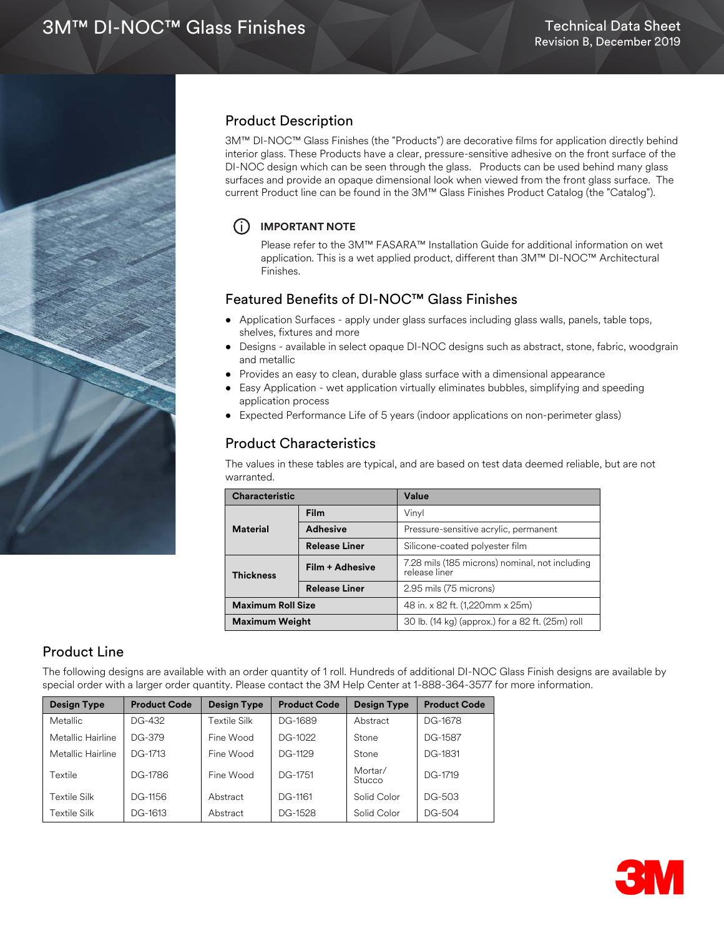

# Product Description

3M™ DI-NOC™ Glass Finishes (the "Products") are decorative films for application directly behind interior glass. These Products have a clear, pressure-sensitive adhesive on the front surface of the DI-NOC design which can be seen through the glass. Products can be used behind many glass surfaces and provide an opaque dimensional look when viewed from the front glass surface. The current Product line can be found in the 3M™ Glass Finishes Product Catalog (the "Catalog").

### i **IMPORTANT NOTE**

Please refer to the 3M™ FASARA™ Installation Guide for additional information on wet application. This is a wet applied product, different than 3M™ DI-NOC™ Architectural Finishes.

# Featured Benefits of DI-NOC™ Glass Finishes

- Application Surfaces apply under glass surfaces including glass walls, panels, table tops, shelves, fixtures and more
- Designs available in select opaque DI-NOC designs such as abstract, stone, fabric, woodgrain and metallic
- Provides an easy to clean, durable glass surface with a dimensional appearance
- Easy Application wet application virtually eliminates bubbles, simplifying and speeding application process
- Expected Performance Life of 5 years (indoor applications on non-perimeter glass)

# Product Characteristics

The values in these tables are typical, and are based on test data deemed reliable, but are not warranted.

| <b>Characteristic</b>    |                      | Value                                                           |  |
|--------------------------|----------------------|-----------------------------------------------------------------|--|
|                          | <b>Film</b>          | Vinyl                                                           |  |
| <b>Material</b>          | <b>Adhesive</b>      | Pressure-sensitive acrylic, permanent                           |  |
|                          | <b>Release Liner</b> | Silicone-coated polyester film                                  |  |
| <b>Thickness</b>         | Film + Adhesive      | 7.28 mils (185 microns) nominal, not including<br>release liner |  |
|                          | <b>Release Liner</b> | 2.95 mils (75 microns)                                          |  |
| <b>Maximum Roll Size</b> |                      | 48 in. x 82 ft. (1,220mm x 25m)                                 |  |
| <b>Maximum Weight</b>    |                      | 30 lb. (14 kg) (approx.) for a 82 ft. (25m) roll                |  |

# Product Line

The following designs are available with an order quantity of 1 roll. Hundreds of additional DI-NOC Glass Finish designs are available by special order with a larger order quantity. Please contact the 3M Help Center at 1-888-364-3577 for more information.

| <b>Design Type</b> | <b>Product Code</b> | Design Type  | <b>Product Code</b> | Design Type       | <b>Product Code</b> |
|--------------------|---------------------|--------------|---------------------|-------------------|---------------------|
| <b>Metallic</b>    | DG-432              | Textile Silk | DG-1689             | Abstract          | DG-1678             |
| Metallic Hairline  | DG-379              | Fine Wood    | DG-1022             | Stone             | DG-1587             |
| Metallic Hairline  | DG-1713             | Fine Wood    | DG-1129             | Stone             | DG-1831             |
| Textile            | DG-1786             | Fine Wood    | DG-1751             | Mortar/<br>Stucco | DG-1719             |
| Textile Silk       | DG-1156             | Abstract     | DG-1161             | Solid Color       | DG-503              |
| Textile Silk       | DG-1613             | Abstract     | DG-1528             | Solid Color       | DG-504              |

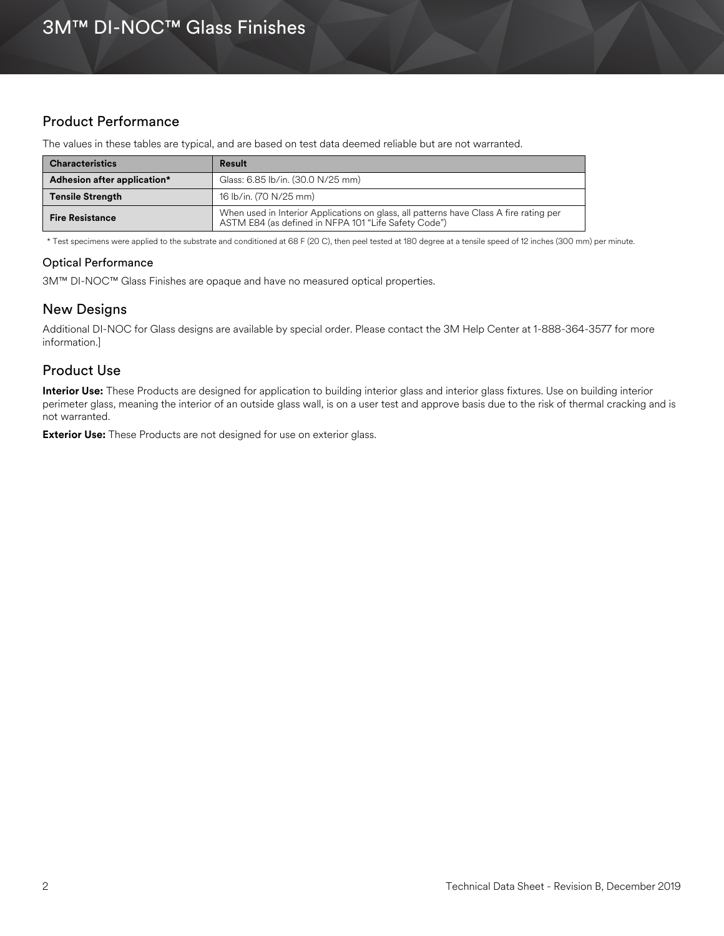# Product Performance

The values in these tables are typical, and are based on test data deemed reliable but are not warranted.

| <b>Characteristics</b>                                           | Result                                                                                                                                         |
|------------------------------------------------------------------|------------------------------------------------------------------------------------------------------------------------------------------------|
| Glass: 6.85 lb/in. (30.0 N/25 mm)<br>Adhesion after application* |                                                                                                                                                |
| <b>Tensile Strength</b>                                          | 16 lb/in. (70 N/25 mm)                                                                                                                         |
| <b>Fire Resistance</b>                                           | When used in Interior Applications on glass, all patterns have Class A fire rating per<br>ASTM E84 (as defined in NFPA 101 "Life Safety Code") |

\* Test specimens were applied to the substrate and conditioned at 68 F (20 C), then peel tested at 180 degree at a tensile speed of 12 inches (300 mm) per minute.

#### Optical Performance

3M™ DI-NOC™ Glass Finishes are opaque and have no measured optical properties.

### New Designs

Additional DI-NOC for Glass designs are available by special order. Please contact the 3M Help Center at 1-888-364-3577 for more information.]

# Product Use

**Interior Use:** These Products are designed for application to building interior glass and interior glass fixtures. Use on building interior perimeter glass, meaning the interior of an outside glass wall, is on a user test and approve basis due to the risk of thermal cracking and is not warranted.

**Exterior Use:** These Products are not designed for use on exterior glass.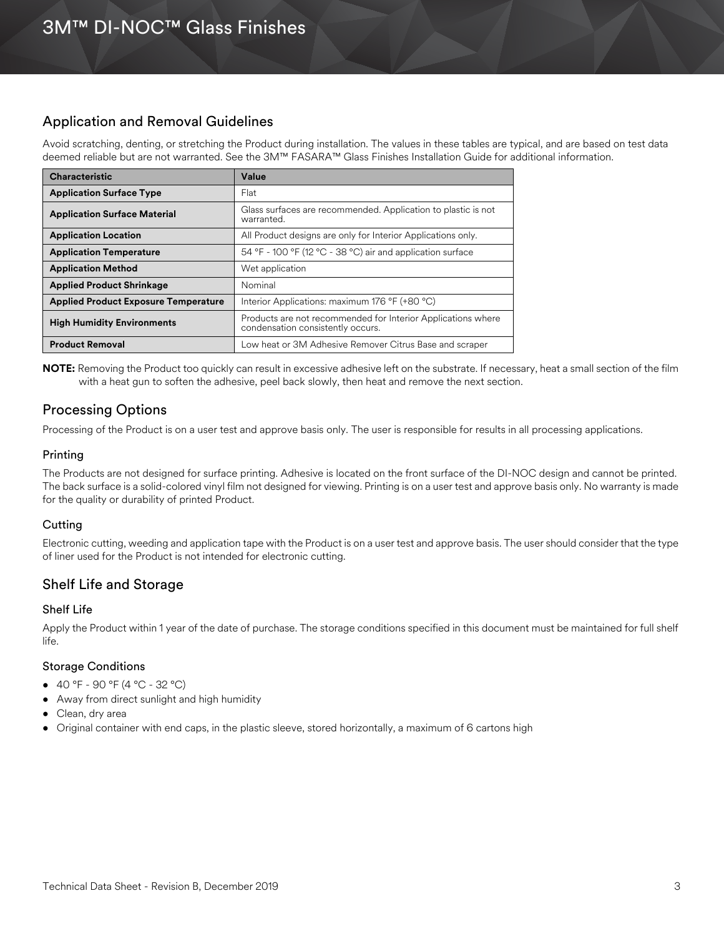# Application and Removal Guidelines

Avoid scratching, denting, or stretching the Product during installation. The values in these tables are typical, and are based on test data deemed reliable but are not warranted. See the 3M™ FASARA™ Glass Finishes Installation Guide for additional information.

| <b>Characteristic</b>                       | Value                                                                                             |  |
|---------------------------------------------|---------------------------------------------------------------------------------------------------|--|
| <b>Application Surface Type</b>             | Flat                                                                                              |  |
| <b>Application Surface Material</b>         | Glass surfaces are recommended. Application to plastic is not<br>warranted.                       |  |
| <b>Application Location</b>                 | All Product designs are only for Interior Applications only.                                      |  |
| <b>Application Temperature</b>              | 54 °F - 100 °F (12 °C - 38 °C) air and application surface                                        |  |
| <b>Application Method</b>                   | Wet application                                                                                   |  |
| <b>Applied Product Shrinkage</b>            | Nominal                                                                                           |  |
| <b>Applied Product Exposure Temperature</b> | Interior Applications: maximum 176 °F (+80 °C)                                                    |  |
| <b>High Humidity Environments</b>           | Products are not recommended for Interior Applications where<br>condensation consistently occurs. |  |
| <b>Product Removal</b>                      | Low heat or 3M Adhesive Remover Citrus Base and scraper                                           |  |

**NOTE:** Removing the Product too quickly can result in excessive adhesive left on the substrate. If necessary, heat a small section of the film with a heat gun to soften the adhesive, peel back slowly, then heat and remove the next section.

# Processing Options

Processing of the Product is on a user test and approve basis only. The user is responsible for results in all processing applications.

### Printing

The Products are not designed for surface printing. Adhesive is located on the front surface of the DI-NOC design and cannot be printed. The back surface is a solid-colored vinyl film not designed for viewing. Printing is on a user test and approve basis only. No warranty is made for the quality or durability of printed Product.

### **Cutting**

Electronic cutting, weeding and application tape with the Product is on a user test and approve basis. The user should consider that the type of liner used for the Product is not intended for electronic cutting.

# Shelf Life and Storage

### Shelf Life

Apply the Product within 1 year of the date of purchase. The storage conditions specified in this document must be maintained for full shelf life.

### Storage Conditions

- 40 °F 90 °F (4 °C 32 °C)
- Away from direct sunlight and high humidity
- Clean, dry area
- Original container with end caps, in the plastic sleeve, stored horizontally, a maximum of 6 cartons high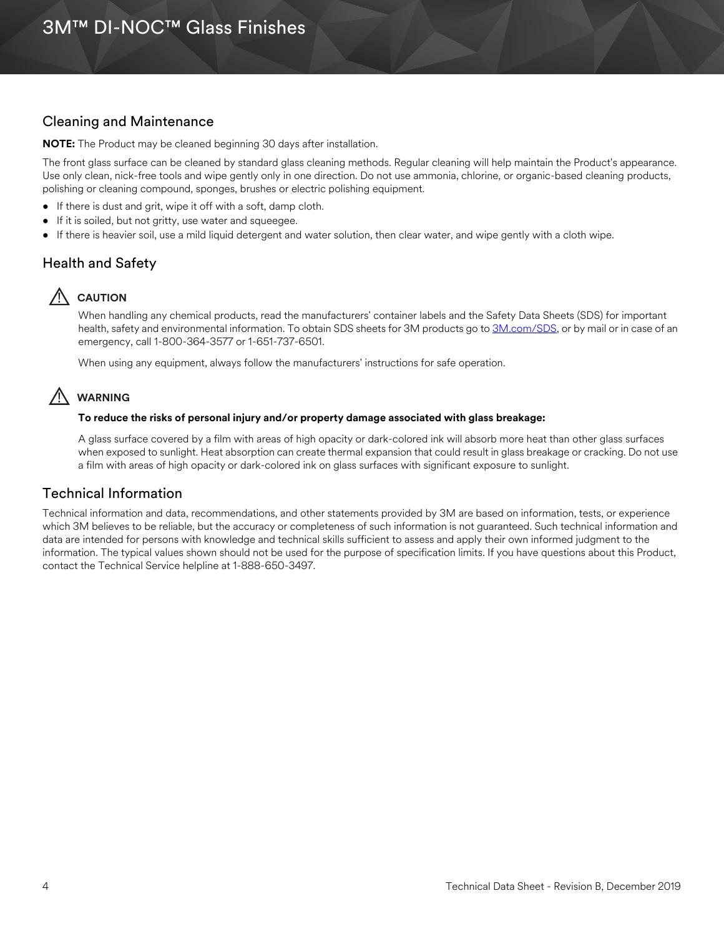# Cleaning and Maintenance

**NOTE:** The Product may be cleaned beginning 30 days after installation.

The front glass surface can be cleaned by standard glass cleaning methods. Regular cleaning will help maintain the Product's appearance. Use only clean, nick-free tools and wipe gently only in one direction. Do not use ammonia, chlorine, or organic-based cleaning products, polishing or cleaning compound, sponges, brushes or electric polishing equipment.

- If there is dust and grit, wipe it off with a soft, damp cloth.
- If it is soiled, but not gritty, use water and squeegee.
- If there is heavier soil, use a mild liquid detergent and water solution, then clear water, and wipe gently with a cloth wipe.

# Health and Safety

# ! **CAUTION**

When handling any chemical products, read the manufacturers' container labels and the Safety Data Sheets (SDS) for important health, safety and environmental information. To obtain SDS sheets for 3M products go to [3M.com/SDS,](http://www.3m.com/sds) or by mail or in case of an emergency, call 1-800-364-3577 or 1-651-737-6501.

When using any equipment, always follow the manufacturers' instructions for safe operation.

# ! **WARNING**

#### **To reduce the risks of personal injury and/or property damage associated with glass breakage:**

A glass surface covered by a film with areas of high opacity or dark-colored ink will absorb more heat than other glass surfaces when exposed to sunlight. Heat absorption can create thermal expansion that could result in glass breakage or cracking. Do not use a film with areas of high opacity or dark-colored ink on glass surfaces with significant exposure to sunlight.

# Technical Information

Technical information and data, recommendations, and other statements provided by 3M are based on information, tests, or experience which 3M believes to be reliable, but the accuracy or completeness of such information is not guaranteed. Such technical information and data are intended for persons with knowledge and technical skills sufficient to assess and apply their own informed judgment to the information. The typical values shown should not be used for the purpose of specification limits. If you have questions about this Product, contact the Technical Service helpline at 1-888-650-3497.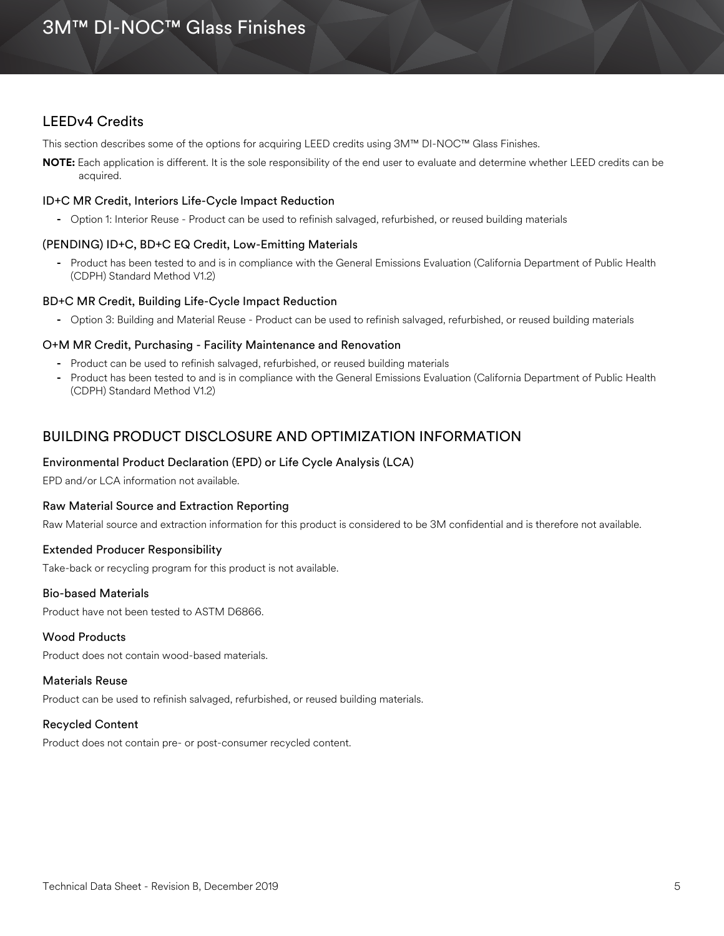### LEEDv4 Credits

This section describes some of the options for acquiring LEED credits using 3M™ DI-NOC™ Glass Finishes.

**NOTE:** Each application is different. It is the sole responsibility of the end user to evaluate and determine whether LEED credits can be acquired.

#### ID+C MR Credit, Interiors Life-Cycle Impact Reduction

**-** Option 1: Interior Reuse - Product can be used to refinish salvaged, refurbished, or reused building materials

#### (PENDING) ID+C, BD+C EQ Credit, Low-Emitting Materials

**-** Product has been tested to and is in compliance with the General Emissions Evaluation (California Department of Public Health (CDPH) Standard Method V1.2)

#### BD+C MR Credit, Building Life-Cycle Impact Reduction

**-** Option 3: Building and Material Reuse - Product can be used to refinish salvaged, refurbished, or reused building materials

#### O+M MR Credit, Purchasing - Facility Maintenance and Renovation

- **-** Product can be used to refinish salvaged, refurbished, or reused building materials
- **-** Product has been tested to and is in compliance with the General Emissions Evaluation (California Department of Public Health (CDPH) Standard Method V1.2)

### BUILDING PRODUCT DISCLOSURE AND OPTIMIZATION INFORMATION

#### Environmental Product Declaration (EPD) or Life Cycle Analysis (LCA)

EPD and/or LCA information not available.

#### Raw Material Source and Extraction Reporting

Raw Material source and extraction information for this product is considered to be 3M confidential and is therefore not available.

#### Extended Producer Responsibility

Take-back or recycling program for this product is not available.

#### Bio-based Materials

Product have not been tested to ASTM D6866.

#### Wood Products

Product does not contain wood-based materials.

#### Materials Reuse

Product can be used to refinish salvaged, refurbished, or reused building materials.

#### Recycled Content

Product does not contain pre- or post-consumer recycled content.